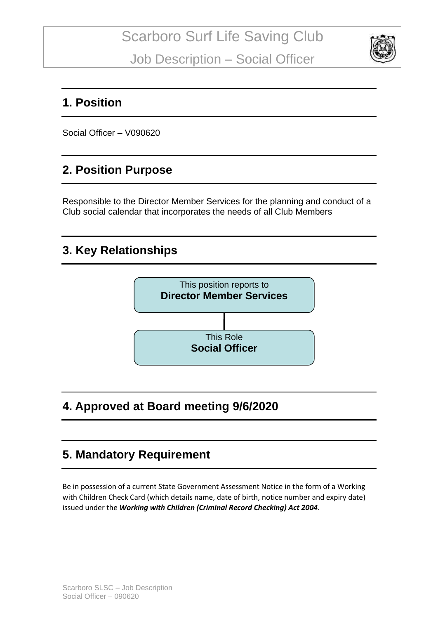

#### **1. Position**

Social Officer – V090620

### **2. Position Purpose**

Responsible to the Director Member Services for the planning and conduct of a Club social calendar that incorporates the needs of all Club Members

### **3. Key Relationships**



## **4. Approved at Board meeting 9/6/2020**

## **5. Mandatory Requirement**

Be in possession of a current State Government Assessment Notice in the form of a Working with Children Check Card (which details name, date of birth, notice number and expiry date) issued under the *Working with Children (Criminal Record Checking) Act 2004*.